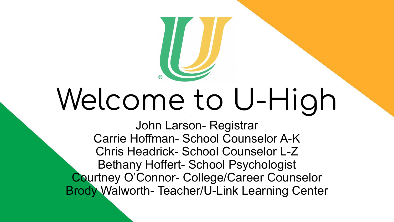# Welcome to U-High

John Larson- Registrar Carrie Hoffman- School Counselor A-K Chris Headrick- School Counselor L-Z Bethany Hoffert- School Psychologist Courtney O'Connor- College/Career Counselor Brody Walworth- Teacher/U-Link Learning Center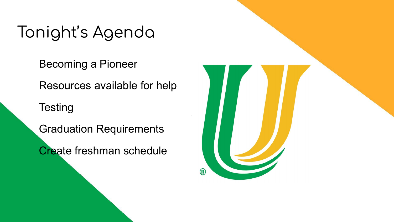# Tonight's Agenda

Becoming a Pioneer

Resources available for help

**Testing** 

Graduation Requirements

Create freshman schedule

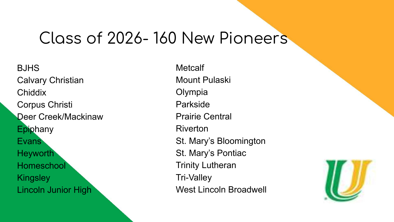#### Class of 2026- 160 New Pioneers

BJHS Calvary Christian Chiddix Corpus Christi Deer Creek/Mackinaw **Epiphany** Evans Heyworth **Homeschool Kingsley** Lincoln Junior High

**Metcalf** Mount Pulaski Olympia Parkside Prairie Central Riverton St. Mary's Bloomington St. Mary's Pontiac Trinity Lutheran Tri-Valley West Lincoln Broadwell

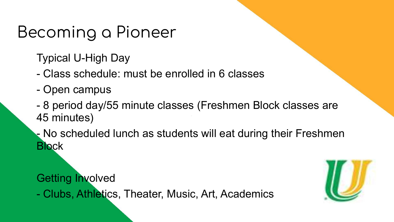## Becoming a Pioneer

Typical U-High Day

- Class schedule: must be enrolled in 6 classes
- Open campus
- 8 period day/55 minute classes (Freshmen Block classes are 45 minutes)

- No scheduled lunch as students will eat during their Freshmen **Block** 

Getting Involved

- Clubs, Athletics, Theater, Music, Art, Academics

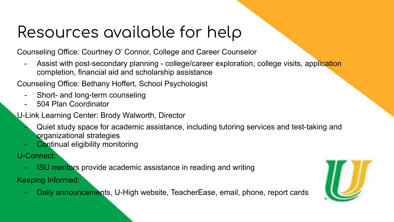# Resources available for help

Counseling Office: Courtney O' Connor, College and Career Counselor

Assist with post-secondary planning - college/career exploration, college visits, application completion, financial aid and scholarship assistance

Counseling Office: Bethany Hoffert, School Psychologist

- Short- and long-term counseling
- 504 Plan Coordinator

U-Link Learning Center: Brody Walworth, Director

- Quiet study space for academic assistance, including tutoring services and test-taking and organizational strategies
- Continual eligibility monitoring

U-Connect:

- ISU mentors provide academic assistance in reading and writing

Keeping Informed:

Daily announcements, U-High website, TeacherEase, email, phone, report cards

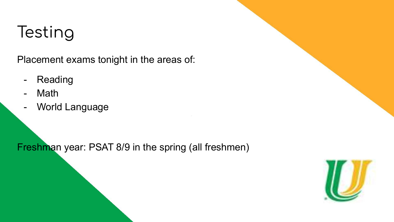# **Testing**

Placement exams tonight in the areas of:

- Reading
- Math
- World Language

Freshman year: PSAT 8/9 in the spring (all freshmen)

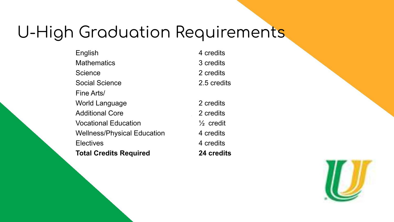### U-High Graduation Requirements

English 4 credits Mathematics 3 credits Science 2 credits Social Science 2.5 credits Fine Arts/ World Language 2 credits Additional Core 2 credits Vocational Education ½ credit Wellness/Physical Education 4 credits Electives 4 credits **Total Credits Required 24 credits**

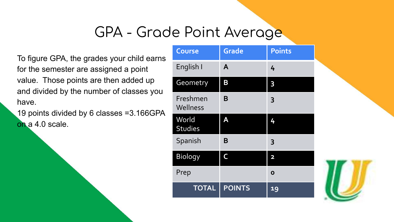#### GPA - Grade Point Average

To figure GPA, the grades your child earns for the semester are assigned a point value. Those points are then added up and divided by the number of classes you have.

19 points divided by 6 classes =3.166GPA on a 4.0 scale.

| Course                  | <b>Grade</b>  | <b>Points</b>           |
|-------------------------|---------------|-------------------------|
| English I               | A             | 4                       |
| Geometry                | B             | 3                       |
| Freshmen<br>Wellness    | B             | 3                       |
| World<br><b>Studies</b> | A             | 4                       |
| Spanish                 | B             | 3                       |
| <b>Biology</b>          | C             | $\overline{\mathbf{2}}$ |
| Prep                    |               | Ο                       |
| <b>TOTAL</b>            | <b>POINTS</b> | 19                      |

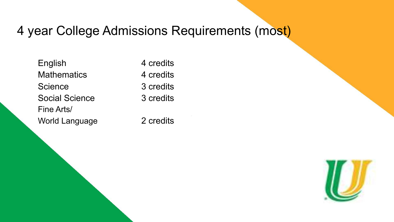#### 4 year College Admissions Requirements (most)

English 4 credits Mathematics 4 credits Science 3 credits Social Science 3 credits Fine Arts/ World Language 2 credits

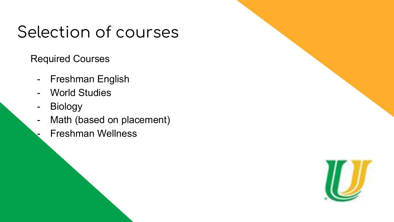### Selection of courses

Required Courses

- Freshman English
- World Studies
- Biology
- Math (based on placement)
	- Freshman Wellness

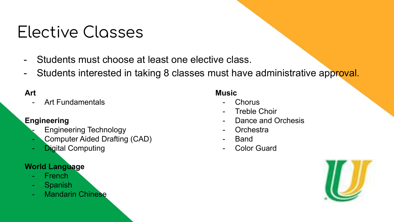### Elective Classes

- Students must choose at least one elective class.
- Students interested in taking 8 classes must have administrative approval.

#### **Art**

Art Fundamentals

#### **Engineering**

- Engineering Technology
- Computer Aided Drafting (CAD)
- **Digital Computing**

#### **World Language**

- French
- Spanish
- **Mandarin Chinese**

#### **Music**

- **Chorus**
- Treble Choir
- Dance and Orchesis
- **Orchestra**
- **Band**
- Color Guard

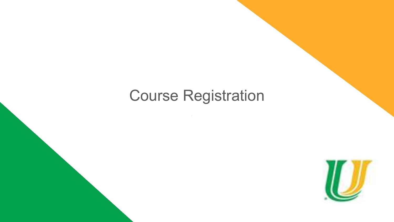#### Course Registration

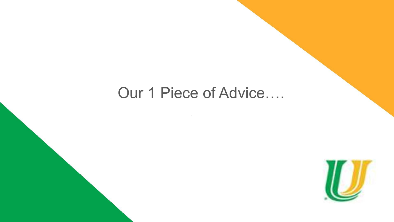#### Our 1 Piece of Advice….